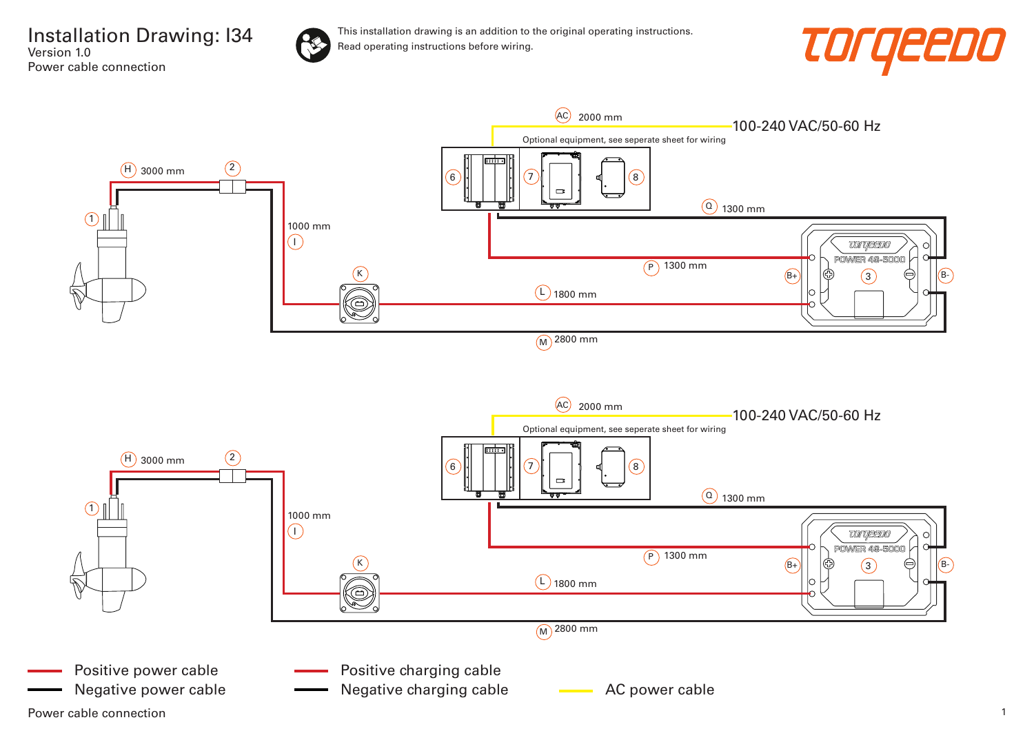Installation Drawing: I34 Version 1.0 Power cable connection





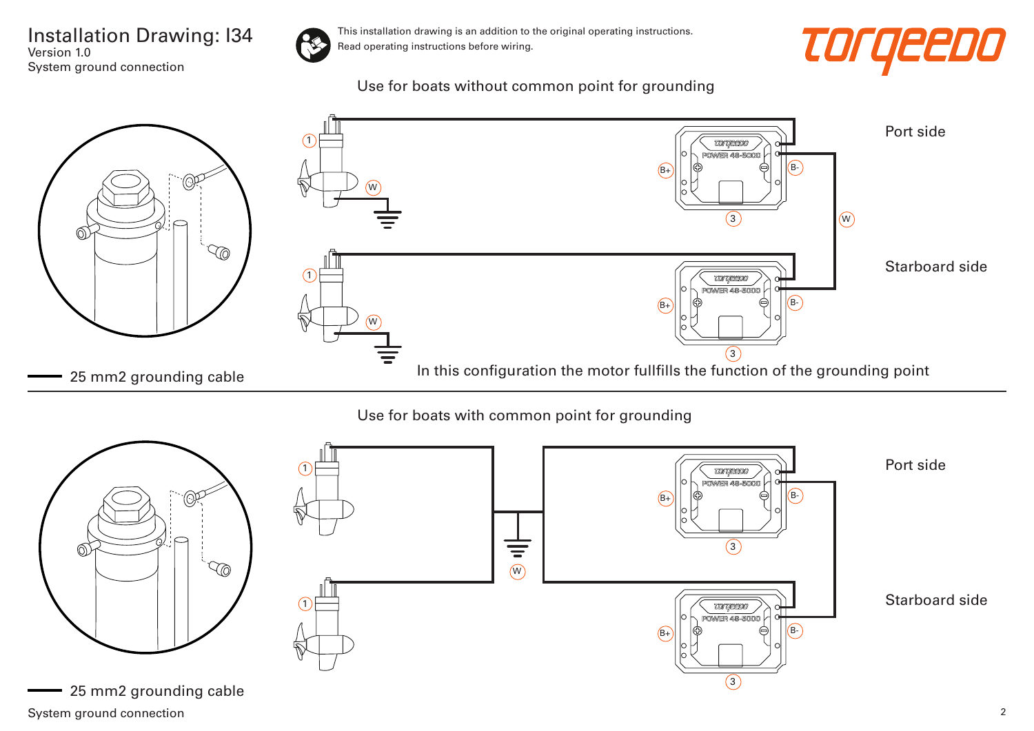Installation Drawing: I34 Version 1.0 System ground connection



This installation drawing is an addition to the original operating instructions. Read operating instructions before wiring.

## *TOrgeeDO*

Use for boats without common point for grounding



## Use for boats with common point for grounding



System ground connection 2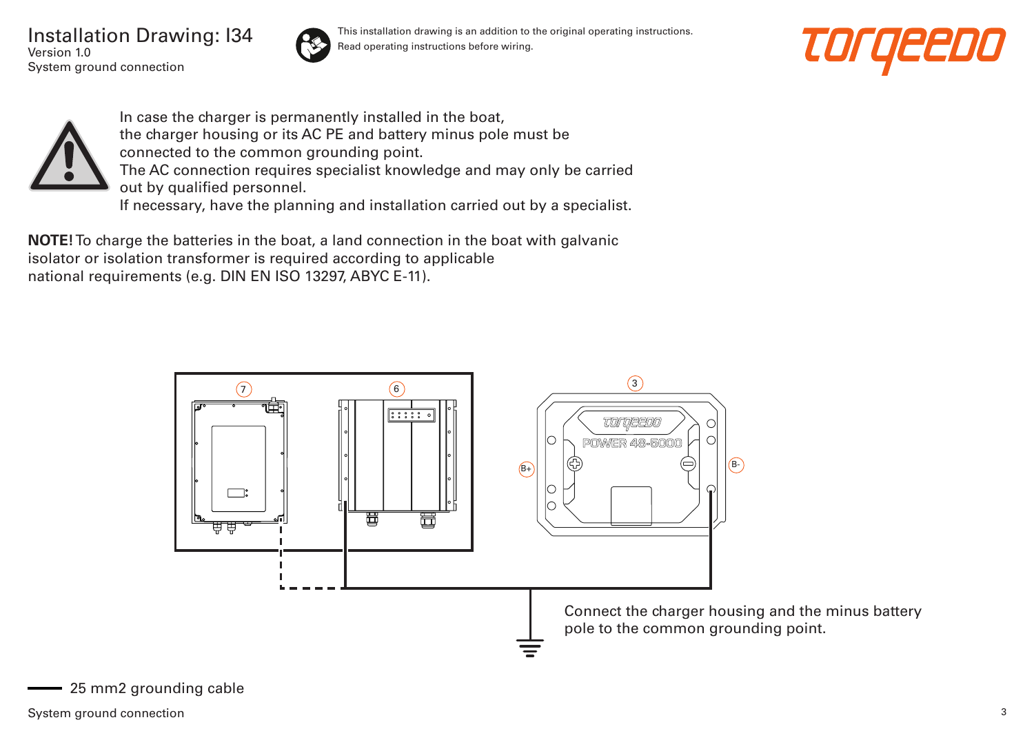Installation Drawing: I34 Version 1.0 System ground connection



This installation drawing is an addition to the original operating instructions. Read operating instructions before wiring.





In case the charger is permanently installed in the boat, the charger housing or its AC PE and battery minus pole must be connected to the common grounding point. The AC connection requires specialist knowledge and may only be carried out by qualified personnel. If necessary, have the planning and installation carried out by a specialist.

**NOTE!** To charge the batteries in the boat, a land connection in the boat with galvanic isolator or isolation transformer is required according to applicable national requirements (e.g. DIN EN ISO 13297, ABYC E-11).

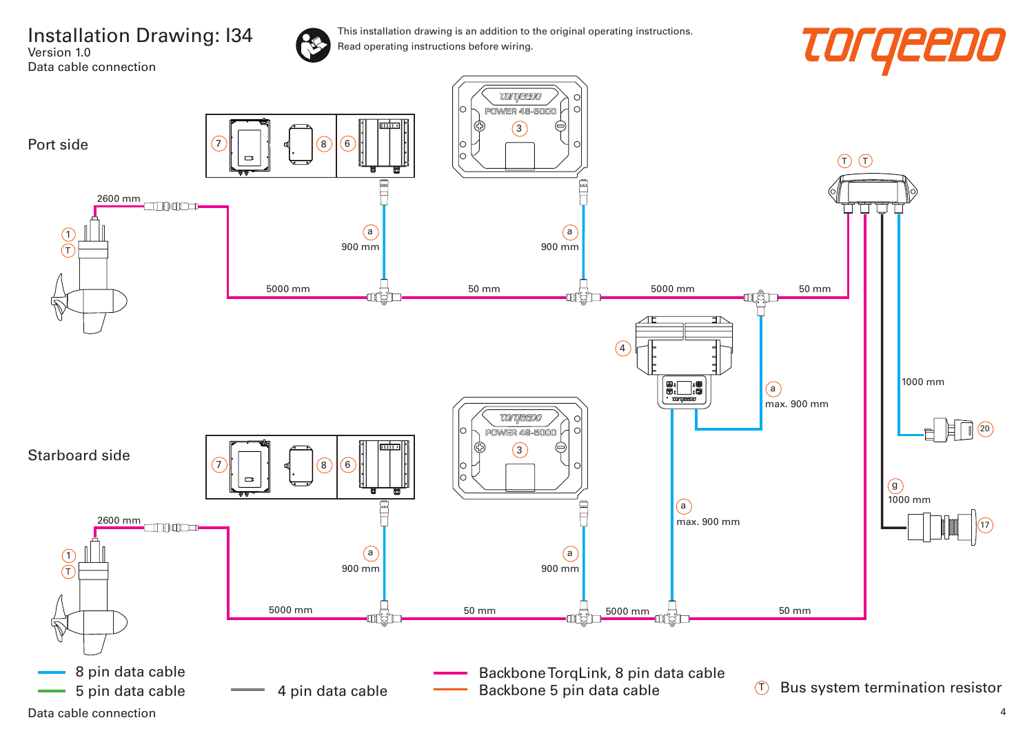Installation Drawing: I34 Version 1.0 Data cable connection





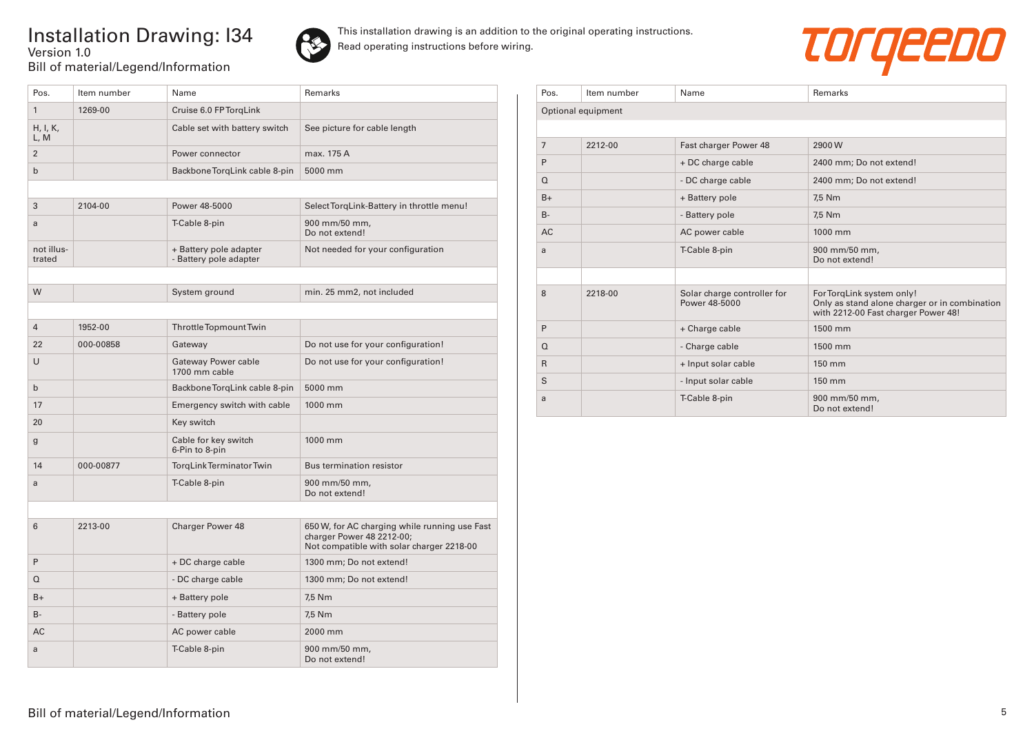## Installation Drawing: I34 Version 1.0 Bill of material/Legend/Information





| Pos.                 | Item number | Name                                             | Remarks                                                                                                                 |
|----------------------|-------------|--------------------------------------------------|-------------------------------------------------------------------------------------------------------------------------|
| $\mathbf{1}$         | 1269-00     | Cruise 6.0 FP TorgLink                           |                                                                                                                         |
| H, I, K,<br>L, M     |             | Cable set with battery switch                    | See picture for cable length                                                                                            |
| $\overline{2}$       |             | Power connector                                  | max. 175 A                                                                                                              |
| $\mathsf{b}$         |             | Backbone TorgLink cable 8-pin                    | 5000 mm                                                                                                                 |
|                      |             |                                                  |                                                                                                                         |
| 3                    | 2104-00     | Power 48-5000                                    | Select TorqLink-Battery in throttle menu!                                                                               |
| a                    |             | T-Cable 8-pin                                    | 900 mm/50 mm,<br>Do not extend!                                                                                         |
| not illus-<br>trated |             | + Battery pole adapter<br>- Battery pole adapter | Not needed for your configuration                                                                                       |
|                      |             |                                                  |                                                                                                                         |
| W                    |             | System ground                                    | min. 25 mm2, not included                                                                                               |
|                      |             |                                                  |                                                                                                                         |
| $\overline{4}$       | 1952-00     | Throttle Topmount Twin                           |                                                                                                                         |
| 22                   | 000-00858   | Gateway                                          | Do not use for your configuration!                                                                                      |
| U                    |             | <b>Gateway Power cable</b><br>1700 mm cable      | Do not use for your configuration!                                                                                      |
| $\mathsf{b}$         |             | Backbone TorgLink cable 8-pin                    | 5000 mm                                                                                                                 |
| 17                   |             | Emergency switch with cable                      | 1000 mm                                                                                                                 |
| 20                   |             | Key switch                                       |                                                                                                                         |
| g                    |             | Cable for key switch<br>6-Pin to 8-pin           | 1000 mm                                                                                                                 |
| 14                   | 000-00877   | TorgLink Terminator Twin                         | <b>Bus termination resistor</b>                                                                                         |
| a                    |             | T-Cable 8-pin                                    | 900 mm/50 mm,<br>Do not extend!                                                                                         |
|                      |             |                                                  |                                                                                                                         |
| 6                    | 2213-00     | <b>Charger Power 48</b>                          | 650 W, for AC charging while running use Fast<br>charger Power 48 2212-00;<br>Not compatible with solar charger 2218-00 |
| P                    |             | + DC charge cable                                | 1300 mm; Do not extend!                                                                                                 |
| $\Omega$             |             | - DC charge cable                                | 1300 mm; Do not extend!                                                                                                 |
| $B+$                 |             | + Battery pole                                   | 7,5 Nm                                                                                                                  |
| $B -$                |             | - Battery pole                                   | 7,5 Nm                                                                                                                  |
| AC                   |             | AC power cable                                   | 2000 mm                                                                                                                 |
| a                    |             | T-Cable 8-pin                                    | 900 mm/50 mm,<br>Do not extend!                                                                                         |

| Pos.           | Item number        | Name                                         | Remarks                                                                                                           |
|----------------|--------------------|----------------------------------------------|-------------------------------------------------------------------------------------------------------------------|
|                | Optional equipment |                                              |                                                                                                                   |
|                |                    |                                              |                                                                                                                   |
| $\overline{7}$ | 2212-00            | Fast charger Power 48                        | 2900W                                                                                                             |
| P              |                    | + DC charge cable                            | 2400 mm; Do not extend!                                                                                           |
| $\Omega$       |                    | - DC charge cable                            | 2400 mm; Do not extend!                                                                                           |
| $B+$           |                    | + Battery pole                               | 7,5 Nm                                                                                                            |
| $B -$          |                    | - Battery pole                               | 7,5 Nm                                                                                                            |
| <b>AC</b>      |                    | AC power cable                               | 1000 mm                                                                                                           |
| a              |                    | T-Cable 8-pin                                | 900 mm/50 mm,<br>Do not extend!                                                                                   |
|                |                    |                                              |                                                                                                                   |
| 8              | 2218-00            | Solar charge controller for<br>Power 48-5000 | For TorqLink system only!<br>Only as stand alone charger or in combination<br>with 2212-00 Fast charger Power 48! |
| P              |                    | + Charge cable                               | 1500 mm                                                                                                           |
| $\Omega$       |                    | - Charge cable                               | 1500 mm                                                                                                           |
| $\mathsf{R}$   |                    | + Input solar cable                          | 150 mm                                                                                                            |
| S              |                    | - Input solar cable                          | 150 mm                                                                                                            |
| a              |                    | T-Cable 8-pin                                | 900 mm/50 mm,<br>Do not extend!                                                                                   |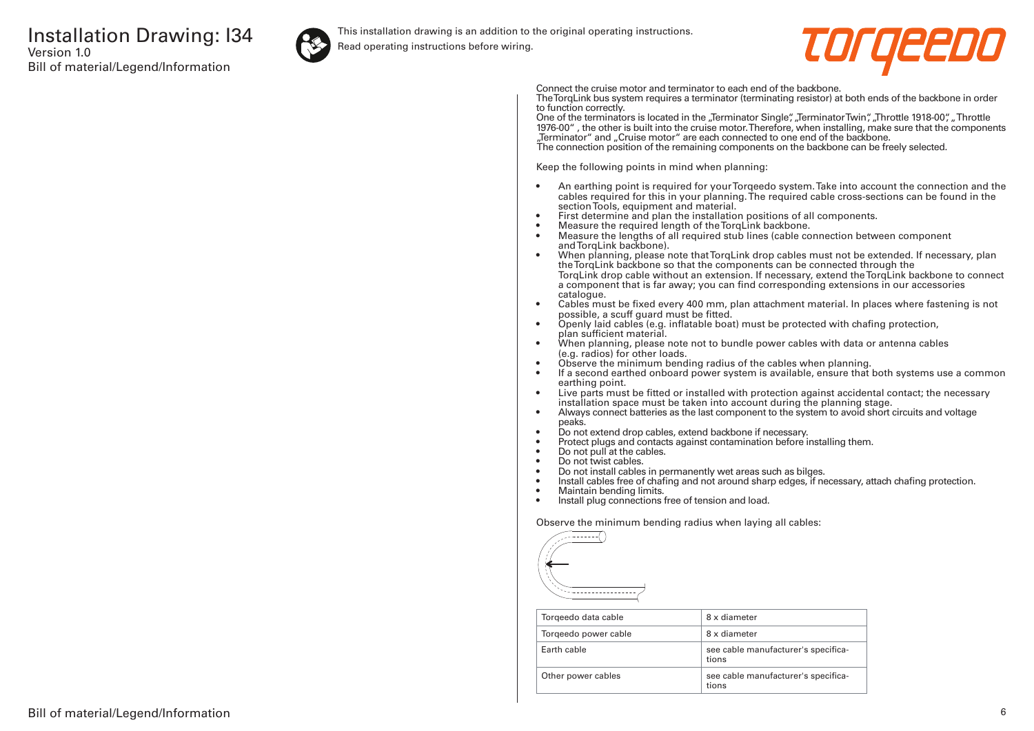

This installation drawing is an addition to the original operating instructions.

Read operating instructions before wiring.



Connect the cruise motor and terminator to each end of the backbone.

The TorqLink bus system requires a terminator (terminating resistor) at both ends of the backbone in order to function correctly.

One of the terminators is located in the "Terminator Single", "Terminator Twin", "Throttle 1918-00", "Throttle 1976-00" , the other is built into the cruise motor. Therefore, when installing, make sure that the components "Terminator" and "Cruise motor" are each connected to one end of the backbone. The connection position of the remaining components on the backbone can be freely selected.

Keep the following points in mind when planning:

- An earthing point is required for your Torqeedo system. Take into account the connection and the cables required for this in your planning. The required cable cross-sections can be found in the section Tools, equipment and material.
- First determine and plan the installation positions of all components.
- Measure the required length of the TorqLink backbone.<br>• Measure the lengths of all required stub lines (cable co
- Measure the lengths of all required stub lines (cable connection between component and TorqLink backbone).
- When planning, please note that TorqLink drop cables must not be extended. If necessary, plan the TorqLink backbone so that the components can be connected through the TorqLink drop cable without an extension. If necessary, extend the TorqLink backbone to connect a component that is far away; you can find corresponding extensions in our accessories catalogue.
- Cables must be fixed every 400 mm, plan attachment material. In places where fastening is not possible, a scuff guard must be fitted.
- Openly laid cables (e.g. inflatable boat) must be protected with chafing protection, plan sufficient material.
- When planning, please note not to bundle power cables with data or antenna cables (e.g. radios) for other loads.
- Observe the minimum bending radius of the cables when planning.
- If a second earthed onboard power system is available, ensure that both systems use a common earthing point.
- Live parts must be fitted or installed with protection against accidental contact; the necessary installation space must be taken into account during the planning stage.
- Always connect batteries as the last component to the system to avoid short circuits and voltage peaks.
- Do not extend drop cables, extend backbone if necessary.
- Protect plugs and contacts against contamination before installing them.
- Do not pull at the cables.
- Do not twist cables.
- Do not install cables in permanently wet areas such as bilges.
- Install cables free of chafing and not around sharp edges, if necessary, attach chafing protection.<br>• Maintain bending limits
- Maintain bending limits.
- Install plug connections free of tension and load.

Observe the minimum bending radius when laying all cables:



| Torgeedo data cable  | 8 x diameter                                 |
|----------------------|----------------------------------------------|
| Torgeedo power cable | 8 x diameter                                 |
| Farth cable          | see cable manufacturer's specifica-<br>tions |
| Other power cables   | see cable manufacturer's specifica-<br>tions |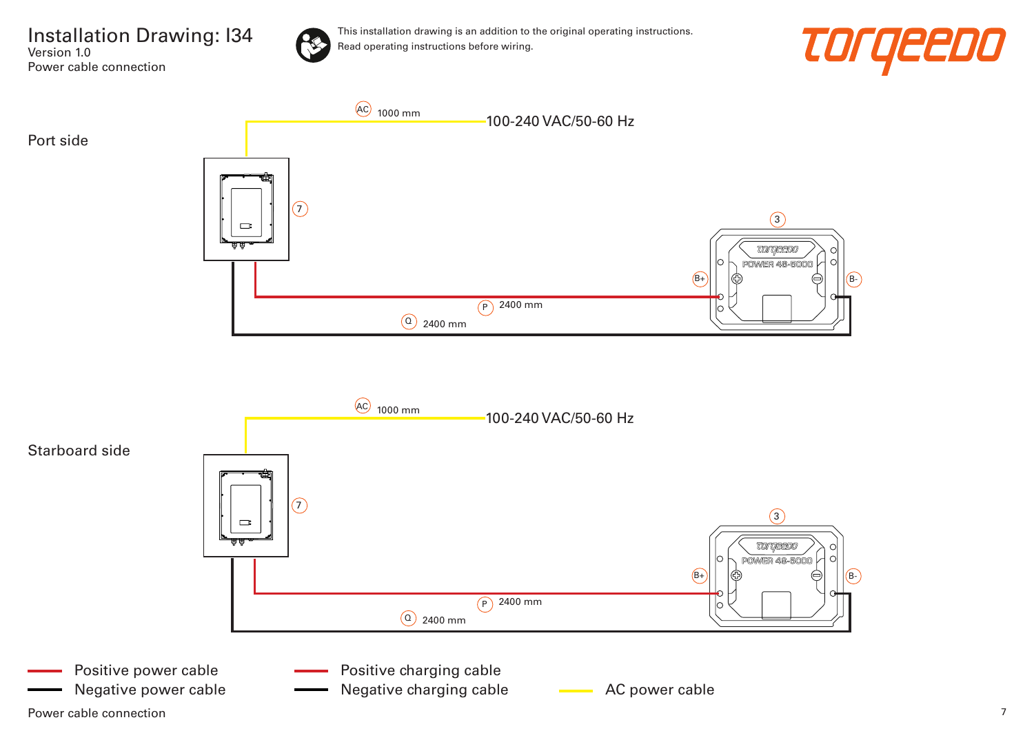Installation Drawing: I34 Version 1.0 Power cable connection